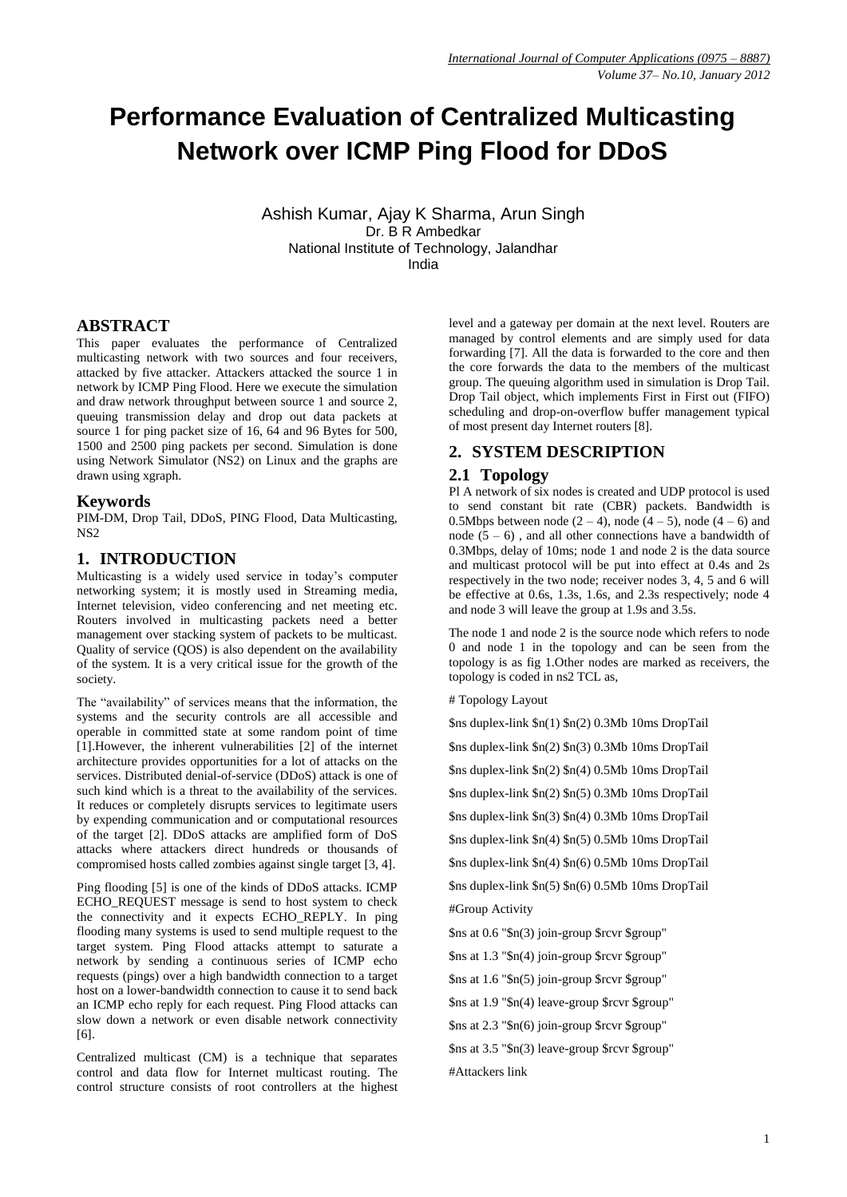# **Performance Evaluation of Centralized Multicasting Network over ICMP Ping Flood for DDoS**

Ashish Kumar, Ajay K Sharma, Arun Singh Dr. B R Ambedkar National Institute of Technology, Jalandhar India

**ABSTRACT**

This paper evaluates the performance of Centralized multicasting network with two sources and four receivers, attacked by five attacker. Attackers attacked the source 1 in network by ICMP Ping Flood. Here we execute the simulation and draw network throughput between source 1 and source 2, queuing transmission delay and drop out data packets at source 1 for ping packet size of 16,  $64$  and 96 Bytes for 500, 1500 and 2500 ping packets per second. Simulation is done using Network Simulator (NS2) on Linux and the graphs are drawn using xgraph.

### **Keywords**

PIM-DM, Drop Tail, DDoS, PING Flood, Data Multicasting, NS<sub>2</sub>

## **1. INTRODUCTION**

Multicasting is a widely used service in today's computer networking system; it is mostly used in Streaming media, Internet television, video conferencing and net meeting etc. Routers involved in multicasting packets need a better management over stacking system of packets to be multicast. Quality of service (QOS) is also dependent on the availability of the system. It is a very critical issue for the growth of the society.

The "availability" of services means that the information, the systems and the security controls are all accessible and operable in committed state at some random point of time [1].However, the inherent vulnerabilities [2] of the internet architecture provides opportunities for a lot of attacks on the services. Distributed denial-of-service (DDoS) attack is one of such kind which is a threat to the availability of the services. It reduces or completely disrupts services to legitimate users by expending communication and or computational resources of the target [2]. DDoS attacks are amplified form of DoS attacks where attackers direct hundreds or thousands of compromised hosts called zombies against single target [3, 4].

Ping flooding [5] is one of the kinds of DDoS attacks. ICMP ECHO\_REQUEST message is send to host system to check the connectivity and it expects ECHO\_REPLY. In ping flooding many systems is used to send multiple request to the target system. Ping Flood attacks attempt to saturate a network by sending a continuous series of ICMP echo requests (pings) over a high bandwidth connection to a target host on a lower-bandwidth connection to cause it to send back an ICMP echo reply for each request. Ping Flood attacks can slow down a network or even disable network connectivity [6].

Centralized multicast (CM) is a technique that separates control and data flow for Internet multicast routing. The control structure consists of root controllers at the highest level and a gateway per domain at the next level. Routers are managed by control elements and are simply used for data forwarding [7]. All the data is forwarded to the core and then the core forwards the data to the members of the multicast group. The queuing algorithm used in simulation is Drop Tail. Drop Tail object, which implements First in First out (FIFO) scheduling and drop-on-overflow buffer management typical of most present day Internet routers [8].

# **2. SYSTEM DESCRIPTION**

### **2.1 Topology**

Pl A network of six nodes is created and UDP protocol is used to send constant bit rate (CBR) packets. Bandwidth is 0.5Mbps between node  $(2 - 4)$ , node  $(4 - 5)$ , node  $(4 - 6)$  and node  $(5 - 6)$ , and all other connections have a bandwidth of 0.3Mbps, delay of 10ms; node 1 and node 2 is the data source and multicast protocol will be put into effect at 0.4s and 2s respectively in the two node; receiver nodes 3, 4, 5 and 6 will be effective at 0.6s, 1.3s, 1.6s, and 2.3s respectively; node 4 and node 3 will leave the group at 1.9s and 3.5s.

The node 1 and node 2 is the source node which refers to node 0 and node 1 in the topology and can be seen from the topology is as fig 1.Other nodes are marked as receivers, the topology is coded in ns2 TCL as,

# Topology Layout

\$ns duplex-link \$n(1) \$n(2) 0.3Mb 10ms DropTail

\$ns duplex-link \$n(2) \$n(3) 0.3Mb 10ms DropTail

\$ns duplex-link \$n(2) \$n(4) 0.5Mb 10ms DropTail

\$ns duplex-link \$n(2) \$n(5) 0.3Mb 10ms DropTail

\$ns duplex-link \$n(3) \$n(4) 0.3Mb 10ms DropTail

\$ns duplex-link \$n(4) \$n(5) 0.5Mb 10ms DropTail

\$ns duplex-link \$n(4) \$n(6) 0.5Mb 10ms DropTail \$ns duplex-link \$n(5) \$n(6) 0.5Mb 10ms DropTail #Group Activity

\$ns at 0.6 "\$n(3) join-group \$rcvr \$group"

\$ns at 1.3 "\$n(4) join-group \$rcvr \$group"

\$ns at 1.6 "\$n(5) join-group \$rcvr \$group"

\$ns at 1.9 "\$n(4) leave-group \$rcvr \$group"

\$ns at 2.3 "\$n(6) join-group \$rcvr \$group"

\$ns at 3.5 "\$n(3) leave-group \$rcvr \$group" #Attackers link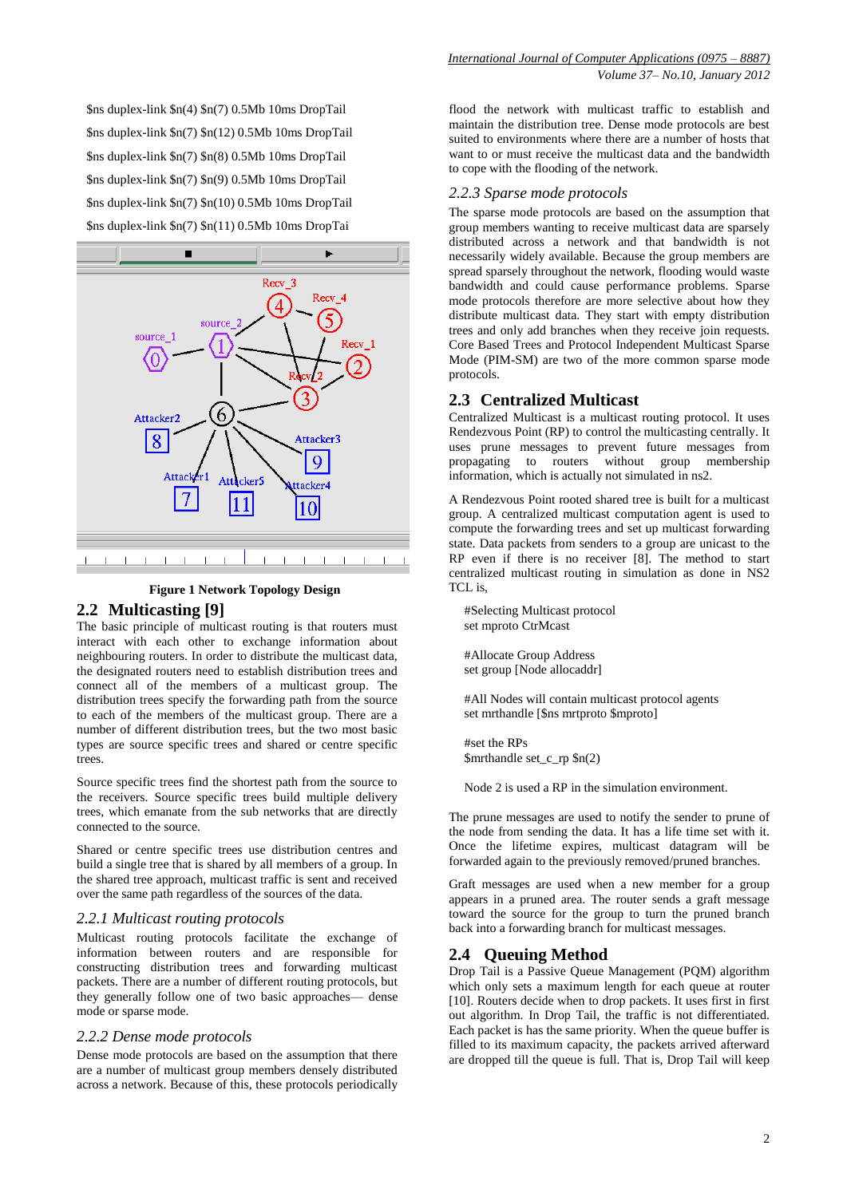\$ns duplex-link \$n(4) \$n(7) 0.5Mb 10ms DropTail \$ns duplex-link \$n(7) \$n(12) 0.5Mb 10ms DropTail \$ns duplex-link \$n(7) \$n(8) 0.5Mb 10ms DropTail \$ns duplex-link \$n(7) \$n(9) 0.5Mb 10ms DropTail \$ns duplex-link \$n(7) \$n(10) 0.5Mb 10ms DropTail \$ns duplex-link \$n(7) \$n(11) 0.5Mb 10ms DropTai



#### **Figure 1 Network Topology Design**

### **2.2 Multicasting [9]**

The basic principle of multicast routing is that routers must interact with each other to exchange information about neighbouring routers. In order to distribute the multicast data, the designated routers need to establish distribution trees and connect all of the members of a multicast group. The distribution trees specify the forwarding path from the source to each of the members of the multicast group. There are a number of different distribution trees, but the two most basic types are source specific trees and shared or centre specific trees.

Source specific trees find the shortest path from the source to the receivers. Source specific trees build multiple delivery trees, which emanate from the sub networks that are directly connected to the source.

Shared or centre specific trees use distribution centres and build a single tree that is shared by all members of a group. In the shared tree approach, multicast traffic is sent and received over the same path regardless of the sources of the data.

### *2.2.1 Multicast routing protocols*

Multicast routing protocols facilitate the exchange of information between routers and are responsible for constructing distribution trees and forwarding multicast packets. There are a number of different routing protocols, but they generally follow one of two basic approaches— dense mode or sparse mode.

#### *2.2.2 Dense mode protocols*

Dense mode protocols are based on the assumption that there are a number of multicast group members densely distributed across a network. Because of this, these protocols periodically

flood the network with multicast traffic to establish and maintain the distribution tree. Dense mode protocols are best suited to environments where there are a number of hosts that want to or must receive the multicast data and the bandwidth to cope with the flooding of the network.

### *2.2.3 Sparse mode protocols*

The sparse mode protocols are based on the assumption that group members wanting to receive multicast data are sparsely distributed across a network and that bandwidth is not necessarily widely available. Because the group members are spread sparsely throughout the network, flooding would waste bandwidth and could cause performance problems. Sparse mode protocols therefore are more selective about how they distribute multicast data. They start with empty distribution trees and only add branches when they receive join requests. Core Based Trees and Protocol Independent Multicast Sparse Mode (PIM-SM) are two of the more common sparse mode protocols.

### **2.3 Centralized Multicast**

Centralized Multicast is a multicast routing protocol. It uses Rendezvous Point (RP) to control the multicasting centrally. It uses prune messages to prevent future messages from propagating to routers without group membership information, which is actually not simulated in ns2.

A Rendezvous Point rooted shared tree is built for a multicast group. A centralized multicast computation agent is used to compute the forwarding trees and set up multicast forwarding state. Data packets from senders to a group are unicast to the RP even if there is no receiver [8]. The method to start centralized multicast routing in simulation as done in NS2 TCL is,

#Selecting Multicast protocol set mproto CtrMcast

#Allocate Group Address set group [Node allocaddr]

#All Nodes will contain multicast protocol agents set mrthandle [\$ns mrtproto \$mproto]

#set the RPs \$mrthandle set\_c\_rp \$n(2)

Node 2 is used a RP in the simulation environment.

The prune messages are used to notify the sender to prune of the node from sending the data. It has a life time set with it. Once the lifetime expires, multicast datagram will be forwarded again to the previously removed/pruned branches.

Graft messages are used when a new member for a group appears in a pruned area. The router sends a graft message toward the source for the group to turn the pruned branch back into a forwarding branch for multicast messages.

### **2.4 Queuing Method**

Drop Tail is a Passive Queue Management (PQM) algorithm which only sets a maximum length for each queue at router [10]. Routers decide when to drop packets. It uses first in first out algorithm. In Drop Tail, the traffic is not differentiated. Each packet is has the same priority. When the queue buffer is filled to its maximum capacity, the packets arrived afterward are dropped till the queue is full. That is, Drop Tail will keep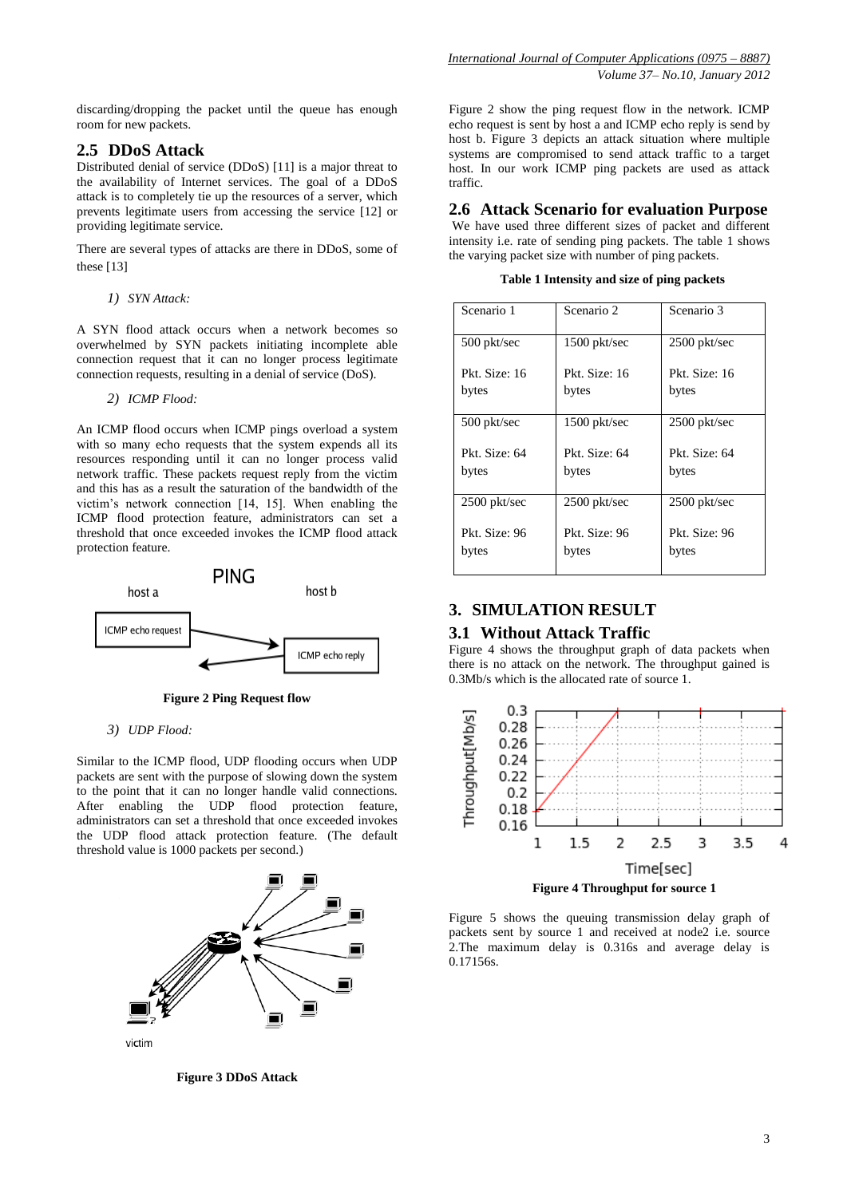discarding/dropping the packet until the queue has enough room for new packets.

# **2.5 DDoS Attack**

Distributed denial of service (DDoS) [11] is a major threat to the availability of Internet services. The goal of a DDoS attack is to completely tie up the resources of a server, which prevents legitimate users from accessing the service [12] or providing legitimate service.

There are several types of attacks are there in DDoS, some of these [13]

*1) SYN Attack:* 

A SYN flood attack occurs when a network becomes so overwhelmed by SYN packets initiating incomplete able connection request that it can no longer process legitimate connection requests, resulting in a denial of service (DoS).

*2) ICMP Flood:* 

An ICMP flood occurs when ICMP pings overload a system with so many echo requests that the system expends all its resources responding until it can no longer process valid network traffic. These packets request reply from the victim and this has as a result the saturation of the bandwidth of the victim's network connection [14, 15]. When enabling the ICMP flood protection feature, administrators can set a threshold that once exceeded invokes the ICMP flood attack protection feature.



**Figure 2 Ping Request flow**

### *3) UDP Flood:*

Similar to the ICMP flood, UDP flooding occurs when UDP packets are sent with the purpose of slowing down the system to the point that it can no longer handle valid connections. After enabling the UDP flood protection feature, administrators can set a threshold that once exceeded invokes the UDP flood attack protection feature. (The default threshold value is 1000 packets per second.)



**Figure 3 DDoS Attack**

Figure 2 show the ping request flow in the network. ICMP echo request is sent by host a and ICMP echo reply is send by host b. Figure 3 depicts an attack situation where multiple systems are compromised to send attack traffic to a target host. In our work ICMP ping packets are used as attack traffic.

**2.6 Attack Scenario for evaluation Purpose**

We have used three different sizes of packet and different intensity i.e. rate of sending ping packets. The table 1 shows the varying packet size with number of ping packets.

**Table 1 Intensity and size of ping packets**

| Scenario 1     | Scenario 2    | Scenario 3    |  |
|----------------|---------------|---------------|--|
| 500 pkt/sec    | 1500 pkt/sec  | 2500 pkt/sec  |  |
| Pkt. Size: 16  | Pkt. Size: 16 | Pkt. Size: 16 |  |
| bytes          | bytes         | bytes         |  |
| 500 pkt/sec    | 1500 pkt/sec  | 2500 pkt/sec  |  |
| Pkt. Size: 64  | Pkt. Size: 64 | Pkt. Size: 64 |  |
| bytes          | bytes         | bytes         |  |
| $2500$ pkt/sec | 2500 pkt/sec  | 2500 pkt/sec  |  |
| Pkt. Size: 96  | Pkt. Size: 96 | Pkt. Size: 96 |  |
| bytes          | bytes         | bytes         |  |

# **3. SIMULATION RESULT**

# **3.1 Without Attack Traffic**

Figure 4 shows the throughput graph of data packets when there is no attack on the network. The throughput gained is 0.3Mb/s which is the allocated rate of source 1.



Figure 5 shows the queuing transmission delay graph of packets sent by source 1 and received at node2 i.e. source 2.The maximum delay is 0.316s and average delay is 0.17156s.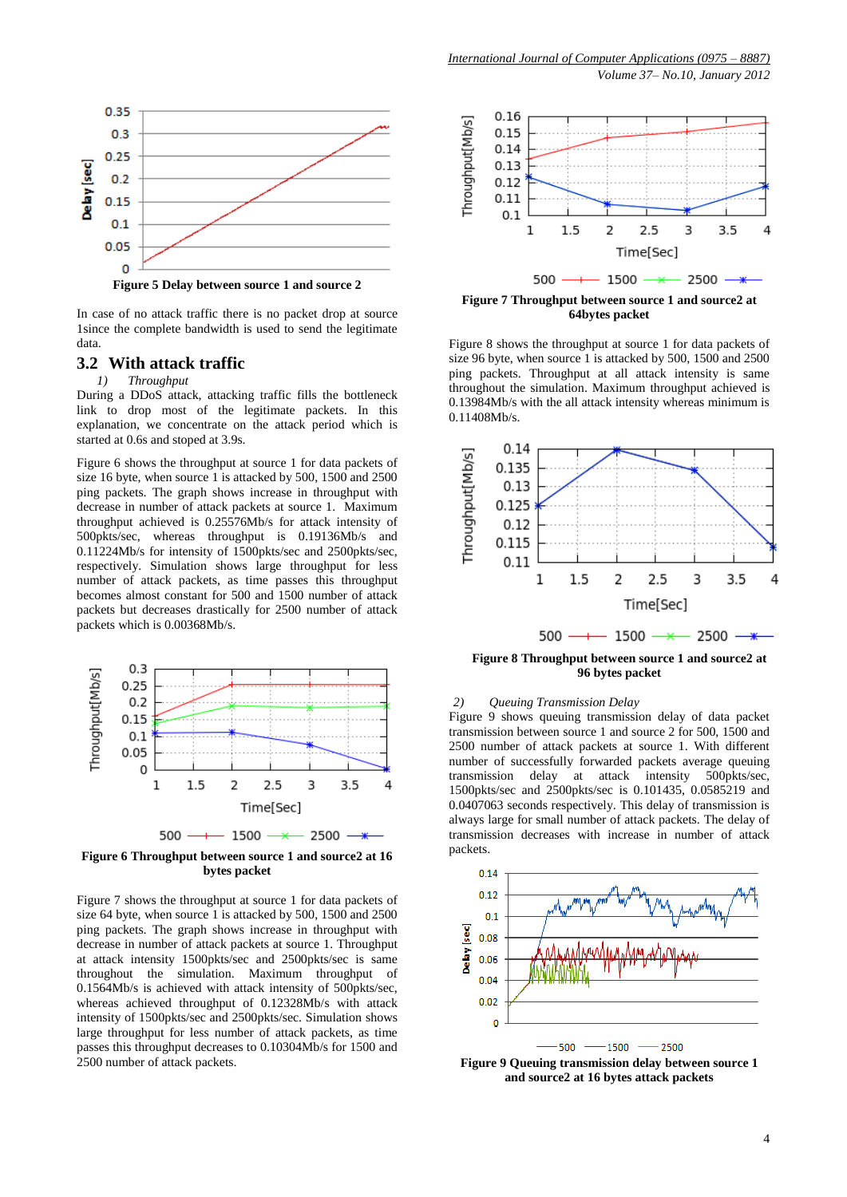

In case of no attack traffic there is no packet drop at source 1since the complete bandwidth is used to send the legitimate data.

## **3.2 With attack traffic**

# *1) Throughput*

During a DDoS attack, attacking traffic fills the bottleneck link to drop most of the legitimate packets. In this explanation, we concentrate on the attack period which is started at 0.6s and stoped at 3.9s.

Figure 6 shows the throughput at source 1 for data packets of size 16 byte, when source 1 is attacked by 500, 1500 and 2500 ping packets. The graph shows increase in throughput with decrease in number of attack packets at source 1. Maximum throughput achieved is 0.25576Mb/s for attack intensity of 500pkts/sec, whereas throughput is 0.19136Mb/s and 0.11224Mb/s for intensity of 1500pkts/sec and 2500pkts/sec, respectively. Simulation shows large throughput for less number of attack packets, as time passes this throughput becomes almost constant for 500 and 1500 number of attack packets but decreases drastically for 2500 number of attack packets which is 0.00368Mb/s.



**Figure 6 Throughput between source 1 and source2 at 16 bytes packet**

Figure 7 shows the throughput at source 1 for data packets of size 64 byte, when source 1 is attacked by 500, 1500 and 2500 ping packets. The graph shows increase in throughput with decrease in number of attack packets at source 1. Throughput at attack intensity 1500pkts/sec and 2500pkts/sec is same throughout the simulation. Maximum throughput of 0.1564Mb/s is achieved with attack intensity of 500pkts/sec, whereas achieved throughput of 0.12328Mb/s with attack intensity of 1500pkts/sec and 2500pkts/sec. Simulation shows large throughput for less number of attack packets, as time passes this throughput decreases to 0.10304Mb/s for 1500 and 2500 number of attack packets.



**Figure 7 Throughput between source 1 and source2 at 64bytes packet**

Figure 8 shows the throughput at source 1 for data packets of size 96 byte, when source 1 is attacked by 500, 1500 and 2500 ping packets. Throughput at all attack intensity is same throughout the simulation. Maximum throughput achieved is 0.13984Mb/s with the all attack intensity whereas minimum is 0.11408Mb/s.



**Figure 8 Throughput between source 1 and source2 at 96 bytes packet**

### *2) Queuing Transmission Delay*

Figure 9 shows queuing transmission delay of data packet transmission between source 1 and source 2 for 500, 1500 and 2500 number of attack packets at source 1. With different number of successfully forwarded packets average queuing<br>transmission delay at attack intensity 500pkts/sec, transmission delay at attack intensity 1500pkts/sec and 2500pkts/sec is 0.101435, 0.0585219 and 0.0407063 seconds respectively. This delay of transmission is always large for small number of attack packets. The delay of transmission decreases with increase in number of attack packets.



**Figure 9 Queuing transmission delay between source 1 and source2 at 16 bytes attack packets**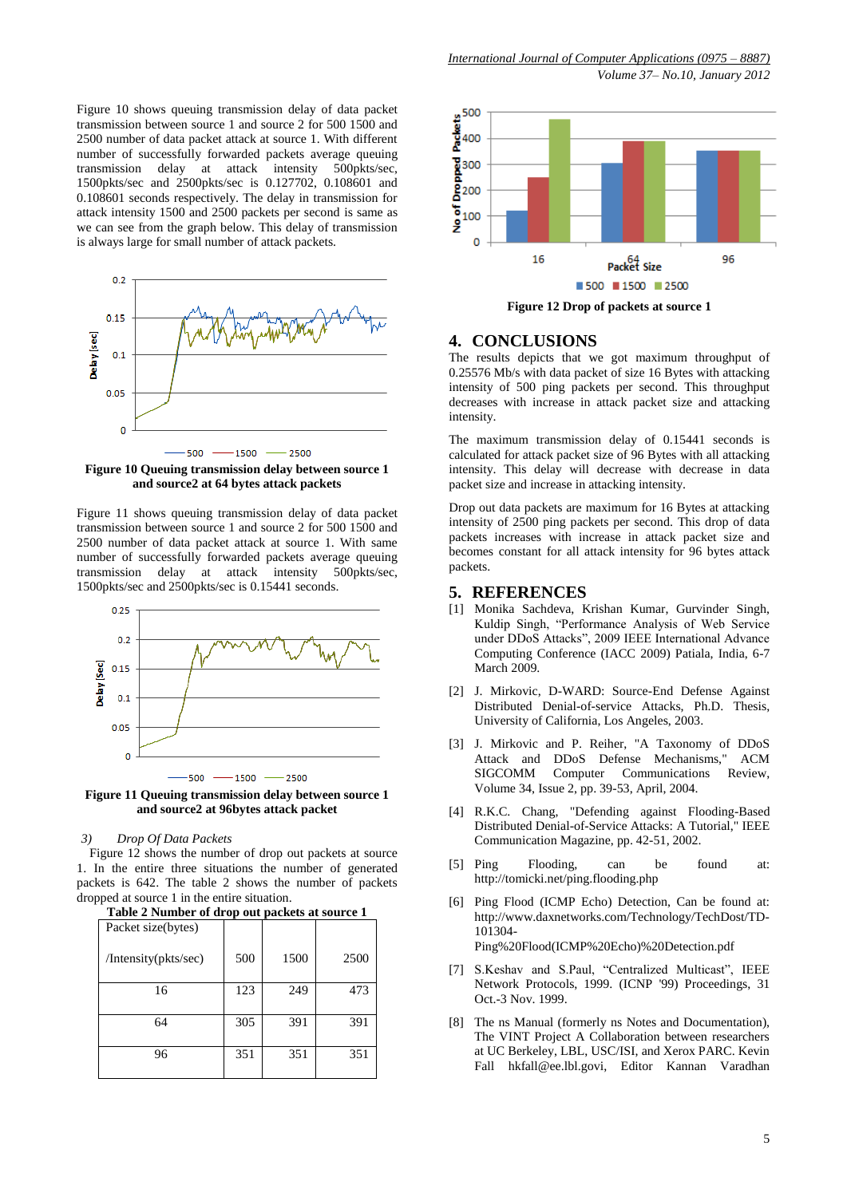Figure 10 shows queuing transmission delay of data packet transmission between source 1 and source 2 for 500 1500 and 2500 number of data packet attack at source 1. With different number of successfully forwarded packets average queuing transmission delay at attack intensity 500pkts/sec, 1500pkts/sec and 2500pkts/sec is 0.127702, 0.108601 and 0.108601 seconds respectively. The delay in transmission for attack intensity 1500 and 2500 packets per second is same as we can see from the graph below. This delay of transmission is always large for small number of attack packets.



**Figure 10 Queuing transmission delay between source 1 and source2 at 64 bytes attack packets**

Figure 11 shows queuing transmission delay of data packet transmission between source 1 and source 2 for 500 1500 and 2500 number of data packet attack at source 1. With same number of successfully forwarded packets average queuing transmission delay at attack intensity 500pkts/sec, 1500pkts/sec and 2500pkts/sec is 0.15441 seconds.



**Figure 11 Queuing transmission delay between source 1 and source2 at 96bytes attack packet**

#### *3) Drop Of Data Packets*

Figure 12 shows the number of drop out packets at source 1. In the entire three situations the number of generated packets is 642. The table 2 shows the number of packets dropped at source 1 in the entire situation.

**Table 2 Number of drop out packets at source 1**

| <b>Table 2 Number of drop out packets at source 1</b> |     |      |      |
|-------------------------------------------------------|-----|------|------|
| Packet size(bytes)                                    |     |      |      |
| /Intensity(pkts/sec)                                  | 500 | 1500 | 2500 |
| 16                                                    | 123 | 249  | 473  |
| 64                                                    | 305 | 391  | 391  |
| 96                                                    | 351 | 351  | 351  |



**Figure 12 Drop of packets at source 1**

## **4. CONCLUSIONS**

The results depicts that we got maximum throughput of 0.25576 Mb/s with data packet of size 16 Bytes with attacking intensity of 500 ping packets per second. This throughput decreases with increase in attack packet size and attacking intensity.

The maximum transmission delay of 0.15441 seconds is calculated for attack packet size of 96 Bytes with all attacking intensity. This delay will decrease with decrease in data packet size and increase in attacking intensity.

Drop out data packets are maximum for 16 Bytes at attacking intensity of 2500 ping packets per second. This drop of data packets increases with increase in attack packet size and becomes constant for all attack intensity for 96 bytes attack packets.

### **5. REFERENCES**

- [1] Monika Sachdeva, Krishan Kumar, Gurvinder Singh, Kuldip Singh, "Performance Analysis of Web Service under DDoS Attacks", 2009 IEEE International Advance Computing Conference (IACC 2009) Patiala, India, 6-7 March 2009.
- [2] J. Mirkovic, D-WARD: Source-End Defense Against Distributed Denial-of-service Attacks, Ph.D. Thesis, University of California, Los Angeles, 2003.
- [3] J. Mirkovic and P. Reiher, "A Taxonomy of DDoS Attack and DDoS Defense Mechanisms," ACM SIGCOMM Computer Communications Review, Volume 34, Issue 2, pp. 39-53, April, 2004.
- [4] R.K.C. Chang, "Defending against Flooding-Based Distributed Denial-of-Service Attacks: A Tutorial," IEEE Communication Magazine, pp. 42-51, 2002.
- [5] Ping Flooding, can be found at: http://tomicki.net/ping.flooding.php
- [6] Ping Flood (ICMP Echo) Detection, Can be found at: http://www.daxnetworks.com/Technology/TechDost/TD-101304-

Ping%20Flood(ICMP%20Echo)%20Detection.pdf

- [7] S.Keshav and S.Paul, "Centralized Multicast", IEEE Network Protocols, 1999. (ICNP '99) Proceedings, 31 Oct.-3 Nov. 1999.
- [8] The ns Manual (formerly ns Notes and Documentation), The VINT Project A Collaboration between researchers at UC Berkeley, LBL, USC/ISI, and Xerox PARC. Kevin Fall hkfall@ee.lbl.govi, Editor Kannan Varadhan